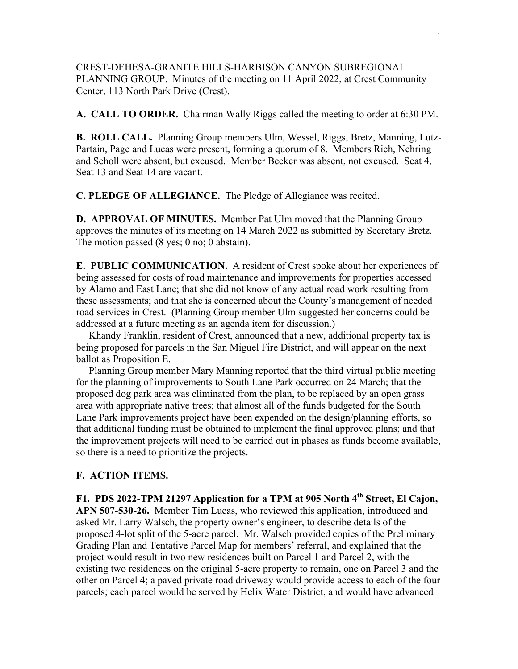CREST-DEHESA-GRANITE HILLS-HARBISON CANYON SUBREGIONAL PLANNING GROUP. Minutes of the meeting on 11 April 2022, at Crest Community Center, 113 North Park Drive (Crest).

**A. CALL TO ORDER.** Chairman Wally Riggs called the meeting to order at 6:30 PM.

**B. ROLL CALL.** Planning Group members Ulm, Wessel, Riggs, Bretz, Manning, Lutz-Partain, Page and Lucas were present, forming a quorum of 8. Members Rich, Nehring and Scholl were absent, but excused. Member Becker was absent, not excused. Seat 4, Seat 13 and Seat 14 are vacant.

**C. PLEDGE OF ALLEGIANCE.** The Pledge of Allegiance was recited.

**D. APPROVAL OF MINUTES.** Member Pat Ulm moved that the Planning Group approves the minutes of its meeting on 14 March 2022 as submitted by Secretary Bretz. The motion passed (8 yes; 0 no; 0 abstain).

**E. PUBLIC COMMUNICATION.** A resident of Crest spoke about her experiences of being assessed for costs of road maintenance and improvements for properties accessed by Alamo and East Lane; that she did not know of any actual road work resulting from these assessments; and that she is concerned about the County's management of needed road services in Crest. (Planning Group member Ulm suggested her concerns could be addressed at a future meeting as an agenda item for discussion.)

 Khandy Franklin, resident of Crest, announced that a new, additional property tax is being proposed for parcels in the San Miguel Fire District, and will appear on the next ballot as Proposition E.

 Planning Group member Mary Manning reported that the third virtual public meeting for the planning of improvements to South Lane Park occurred on 24 March; that the proposed dog park area was eliminated from the plan, to be replaced by an open grass area with appropriate native trees; that almost all of the funds budgeted for the South Lane Park improvements project have been expended on the design/planning efforts, so that additional funding must be obtained to implement the final approved plans; and that the improvement projects will need to be carried out in phases as funds become available, so there is a need to prioritize the projects.

## **F. ACTION ITEMS.**

**F1. PDS 2022-TPM 21297 Application for a TPM at 905 North 4th Street, El Cajon, APN 507-530-26.** Member Tim Lucas, who reviewed this application, introduced and asked Mr. Larry Walsch, the property owner's engineer, to describe details of the proposed 4-lot split of the 5-acre parcel. Mr. Walsch provided copies of the Preliminary Grading Plan and Tentative Parcel Map for members' referral, and explained that the project would result in two new residences built on Parcel 1 and Parcel 2, with the existing two residences on the original 5-acre property to remain, one on Parcel 3 and the other on Parcel 4; a paved private road driveway would provide access to each of the four parcels; each parcel would be served by Helix Water District, and would have advanced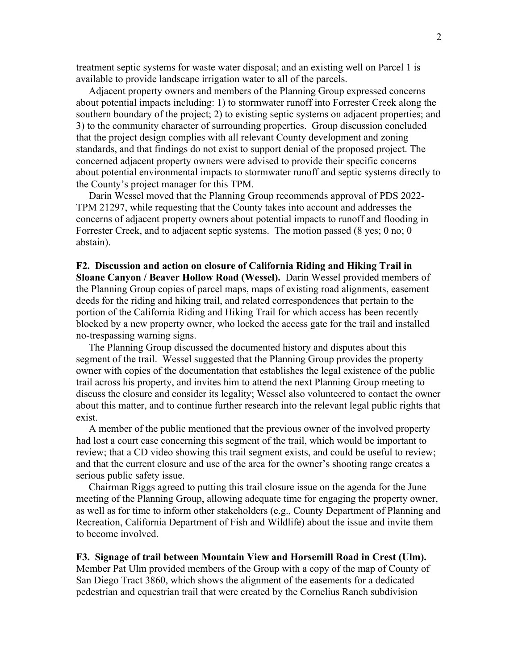treatment septic systems for waste water disposal; and an existing well on Parcel 1 is available to provide landscape irrigation water to all of the parcels.

 Adjacent property owners and members of the Planning Group expressed concerns about potential impacts including: 1) to stormwater runoff into Forrester Creek along the southern boundary of the project; 2) to existing septic systems on adjacent properties; and 3) to the community character of surrounding properties. Group discussion concluded that the project design complies with all relevant County development and zoning standards, and that findings do not exist to support denial of the proposed project. The concerned adjacent property owners were advised to provide their specific concerns about potential environmental impacts to stormwater runoff and septic systems directly to the County's project manager for this TPM.

 Darin Wessel moved that the Planning Group recommends approval of PDS 2022- TPM 21297, while requesting that the County takes into account and addresses the concerns of adjacent property owners about potential impacts to runoff and flooding in Forrester Creek, and to adjacent septic systems. The motion passed (8 yes; 0 no; 0 abstain).

**F2. Discussion and action on closure of California Riding and Hiking Trail in Sloane Canyon / Beaver Hollow Road (Wessel).** Darin Wessel provided members of the Planning Group copies of parcel maps, maps of existing road alignments, easement deeds for the riding and hiking trail, and related correspondences that pertain to the portion of the California Riding and Hiking Trail for which access has been recently blocked by a new property owner, who locked the access gate for the trail and installed no-trespassing warning signs.

 The Planning Group discussed the documented history and disputes about this segment of the trail. Wessel suggested that the Planning Group provides the property owner with copies of the documentation that establishes the legal existence of the public trail across his property, and invites him to attend the next Planning Group meeting to discuss the closure and consider its legality; Wessel also volunteered to contact the owner about this matter, and to continue further research into the relevant legal public rights that exist.

 A member of the public mentioned that the previous owner of the involved property had lost a court case concerning this segment of the trail, which would be important to review; that a CD video showing this trail segment exists, and could be useful to review; and that the current closure and use of the area for the owner's shooting range creates a serious public safety issue.

 Chairman Riggs agreed to putting this trail closure issue on the agenda for the June meeting of the Planning Group, allowing adequate time for engaging the property owner, as well as for time to inform other stakeholders (e.g., County Department of Planning and Recreation, California Department of Fish and Wildlife) about the issue and invite them to become involved.

**F3. Signage of trail between Mountain View and Horsemill Road in Crest (Ulm).** Member Pat Ulm provided members of the Group with a copy of the map of County of San Diego Tract 3860, which shows the alignment of the easements for a dedicated pedestrian and equestrian trail that were created by the Cornelius Ranch subdivision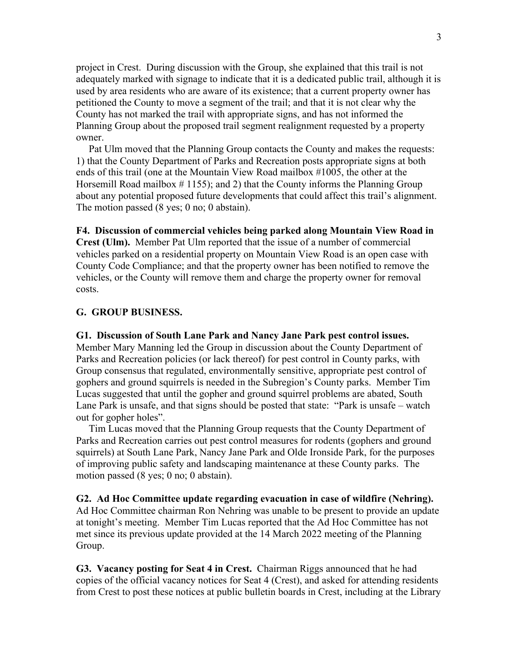project in Crest. During discussion with the Group, she explained that this trail is not adequately marked with signage to indicate that it is a dedicated public trail, although it is used by area residents who are aware of its existence; that a current property owner has petitioned the County to move a segment of the trail; and that it is not clear why the County has not marked the trail with appropriate signs, and has not informed the Planning Group about the proposed trail segment realignment requested by a property owner.

 Pat Ulm moved that the Planning Group contacts the County and makes the requests: 1) that the County Department of Parks and Recreation posts appropriate signs at both ends of this trail (one at the Mountain View Road mailbox #1005, the other at the Horsemill Road mailbox  $\#$  1155); and 2) that the County informs the Planning Group about any potential proposed future developments that could affect this trail's alignment. The motion passed (8 yes; 0 no; 0 abstain).

**F4. Discussion of commercial vehicles being parked along Mountain View Road in Crest (Ulm).** Member Pat Ulm reported that the issue of a number of commercial vehicles parked on a residential property on Mountain View Road is an open case with County Code Compliance; and that the property owner has been notified to remove the vehicles, or the County will remove them and charge the property owner for removal costs.

## **G. GROUP BUSINESS.**

**G1. Discussion of South Lane Park and Nancy Jane Park pest control issues.** Member Mary Manning led the Group in discussion about the County Department of Parks and Recreation policies (or lack thereof) for pest control in County parks, with Group consensus that regulated, environmentally sensitive, appropriate pest control of gophers and ground squirrels is needed in the Subregion's County parks. Member Tim Lucas suggested that until the gopher and ground squirrel problems are abated, South Lane Park is unsafe, and that signs should be posted that state: "Park is unsafe – watch out for gopher holes".

 Tim Lucas moved that the Planning Group requests that the County Department of Parks and Recreation carries out pest control measures for rodents (gophers and ground squirrels) at South Lane Park, Nancy Jane Park and Olde Ironside Park, for the purposes of improving public safety and landscaping maintenance at these County parks. The motion passed (8 yes; 0 no; 0 abstain).

**G2. Ad Hoc Committee update regarding evacuation in case of wildfire (Nehring).**  Ad Hoc Committee chairman Ron Nehring was unable to be present to provide an update at tonight's meeting. Member Tim Lucas reported that the Ad Hoc Committee has not met since its previous update provided at the 14 March 2022 meeting of the Planning Group.

**G3. Vacancy posting for Seat 4 in Crest.** Chairman Riggs announced that he had copies of the official vacancy notices for Seat 4 (Crest), and asked for attending residents from Crest to post these notices at public bulletin boards in Crest, including at the Library